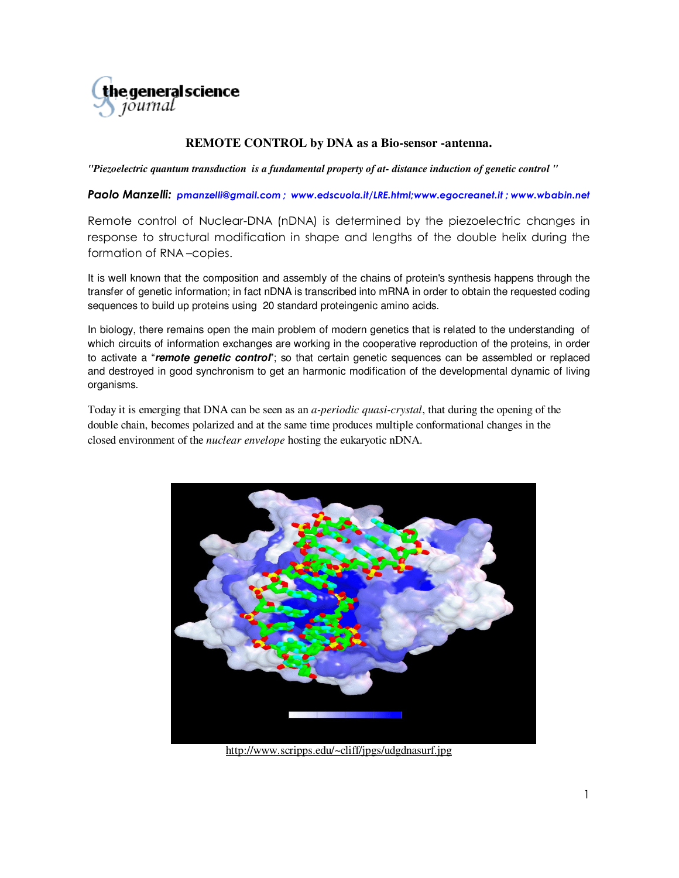

## **REMOTE CONTROL by DNA as a Bio-sensor -antenna.**

*"Piezoelectric quantum transduction is a fundamental property of at- distance induction of genetic control "* 

Paolo Manzelli: pmanzelli@gmail.com ; www.edscuola.it/LRE.html;www.egocreanet.it ; www.wbabin.net

Remote control of Nuclear-DNA (nDNA) is determined by the piezoelectric changes in response to structural modification in shape and lengths of the double helix during the formation of RNA –copies.

It is well known that the composition and assembly of the chains of protein's synthesis happens through the transfer of genetic information; in fact nDNA is transcribed into mRNA in order to obtain the requested coding sequences to build up proteins using 20 standard proteingenic amino acids.

In biology, there remains open the main problem of modern genetics that is related to the understanding of which circuits of information exchanges are working in the cooperative reproduction of the proteins, in order to activate a "**remote genetic control**"; so that certain genetic sequences can be assembled or replaced and destroyed in good synchronism to get an harmonic modification of the developmental dynamic of living organisms.

Today it is emerging that DNA can be seen as an *a-periodic quasi-crystal*, that during the opening of the double chain, becomes polarized and at the same time produces multiple conformational changes in the closed environment of the *nuclear envelope* hosting the eukaryotic nDNA.



http://www.scripps.edu/~cliff/jpgs/udgdnasurf.jpg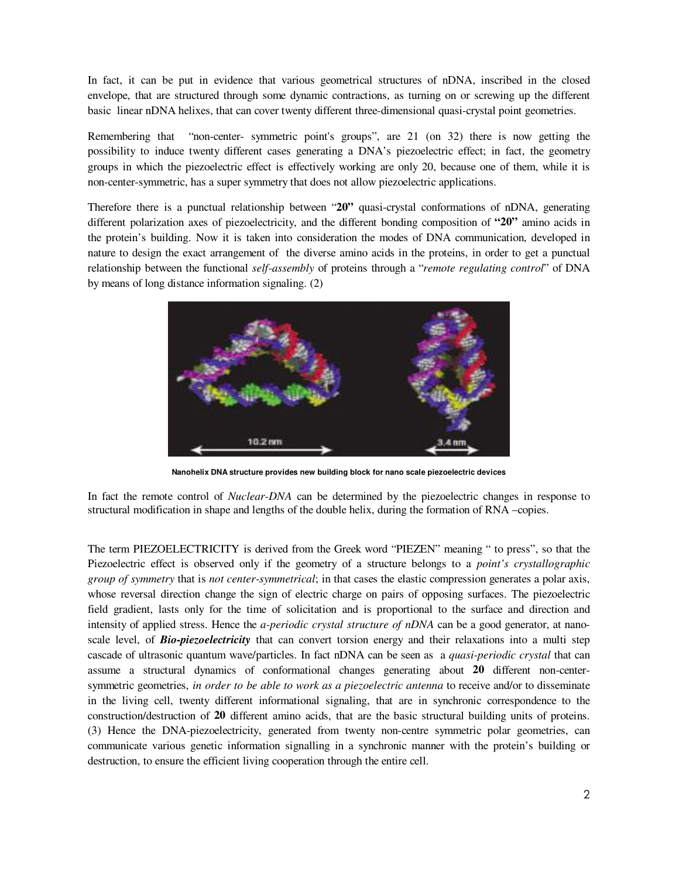In fact, it can be put in evidence that various geometrical structures of nDNA, inscribed in the closed envelope, that are structured through some dynamic contractions, as turning on or screwing up the different basic linear nDNA helixes, that can cover twenty different three-dimensional quasi-crystal point geometries.

Remembering that "non-center- symmetric point's groups", are 21 (on 32) there is now getting the possibility to induce twenty different cases generating a DNA's piezoelectric effect; in fact, the geometry groups in which the piezoelectric effect is effectively working are only 20, because one of them, while it is non-center-symmetric, has a super symmetry that does not allow piezoelectric applications.

Therefore there is a punctual relationship between "**20"** quasi-crystal conformations of nDNA, generating different polarization axes of piezoelectricity, and the different bonding composition of **"20"** amino acids in the protein's building. Now it is taken into consideration the modes of DNA communication, developed in nature to design the exact arrangement of the diverse amino acids in the proteins, in order to get a punctual relationship between the functional *self-assembly* of proteins through a "*remote regulating control*" of DNA by means of long distance information signaling. (2)



**Nanohelix DNA structure provides new building block for nano scale piezoelectric devices** 

In fact the remote control of *Nuclear-DNA* can be determined by the piezoelectric changes in response to structural modification in shape and lengths of the double helix, during the formation of RNA –copies.

The term PIEZOELECTRICITY is derived from the Greek word "PIEZEN" meaning " to press", so that the Piezoelectric effect is observed only if the geometry of a structure belongs to a *point's crystallographic group of symmetry* that is *not center-symmetrical*; in that cases the elastic compression generates a polar axis, whose reversal direction change the sign of electric charge on pairs of opposing surfaces. The piezoelectric field gradient, lasts only for the time of solicitation and is proportional to the surface and direction and intensity of applied stress. Hence the *a-periodic crystal structure of nDNA* can be a good generator, at nanoscale level, of *Bio-piezoelectricity* that can convert torsion energy and their relaxations into a multi step cascade of ultrasonic quantum wave/particles. In fact nDNA can be seen as a *quasi-periodic crystal* that can assume a structural dynamics of conformational changes generating about **20** different non-centersymmetric geometries, *in order to be able to work as a piezoelectric antenna* to receive and/or to disseminate in the living cell, twenty different informational signaling, that are in synchronic correspondence to the construction/destruction of **20** different amino acids, that are the basic structural building units of proteins. (3) Hence the DNA-piezoelectricity, generated from twenty non-centre symmetric polar geometries, can communicate various genetic information signalling in a synchronic manner with the protein's building or destruction, to ensure the efficient living cooperation through the entire cell.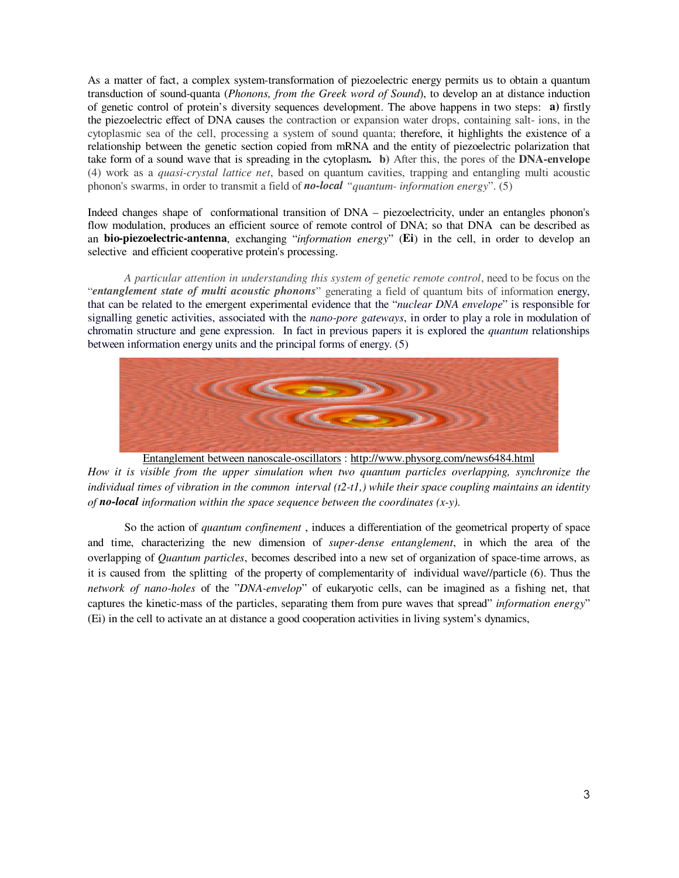As a matter of fact, a complex system-transformation of piezoelectric energy permits us to obtain a quantum transduction of sound-quanta (*Phonons, from the Greek word of Sound*), to develop an at distance induction of genetic control of protein's diversity sequences development. The above happens in two steps: **a)** firstly the piezoelectric effect of DNA causes the contraction or expansion water drops, containing salt- ions, in the cytoplasmic sea of the cell, processing a system of sound quanta; therefore, it highlights the existence of a relationship between the genetic section copied from mRNA and the entity of piezoelectric polarization that take form of a sound wave that is spreading in the cytoplasm**. b)** After this, the pores of the **DNA-envelope** (4) work as a *quasi-crystal lattice net*, based on quantum cavities, trapping and entangling multi acoustic phonon's swarms, in order to transmit a field of *no-local "quantum- information energy*". (5)

Indeed changes shape of conformational transition of DNA – piezoelectricity, under an entangles phonon's flow modulation, produces an efficient source of remote control of DNA; so that DNA can be described as an **bio-piezoelectric-antenna**, exchanging "*information energy*" (**Ei**) in the cell, in order to develop an selective and efficient cooperative protein's processing.

*A particular attention in understanding this system of genetic remote control*, need to be focus on the "*entanglement state of multi acoustic phonons*" generating a field of quantum bits of information energy, that can be related to the emergent experimental evidence that the "*nuclear DNA envelope*" is responsible for signalling genetic activities, associated with the *nano-pore gateways*, in order to play a role in modulation of chromatin structure and gene expression. In fact in previous papers it is explored the *quantum* relationships between information energy units and the principal forms of energy. (5)



Entanglement between nanoscale-oscillators : http://www.physorg.com/news6484.html

*How it is visible from the upper simulation when two quantum particles overlapping, synchronize the individual times of vibration in the common interval (t2-t1,) while their space coupling maintains an identity of no-local information within the space sequence between the coordinates (x-y).*

So the action of *quantum confinement* , induces a differentiation of the geometrical property of space and time, characterizing the new dimension of *super-dense entanglement*, in which the area of the overlapping of *Quantum particles*, becomes described into a new set of organization of space-time arrows, as it is caused from the splitting of the property of complementarity of individual wave//particle (6). Thus the *network of nano-holes* of the "*DNA-envelop*" of eukaryotic cells, can be imagined as a fishing net, that captures the kinetic-mass of the particles, separating them from pure waves that spread" *information energy*" (Ei) in the cell to activate an at distance a good cooperation activities in living system's dynamics,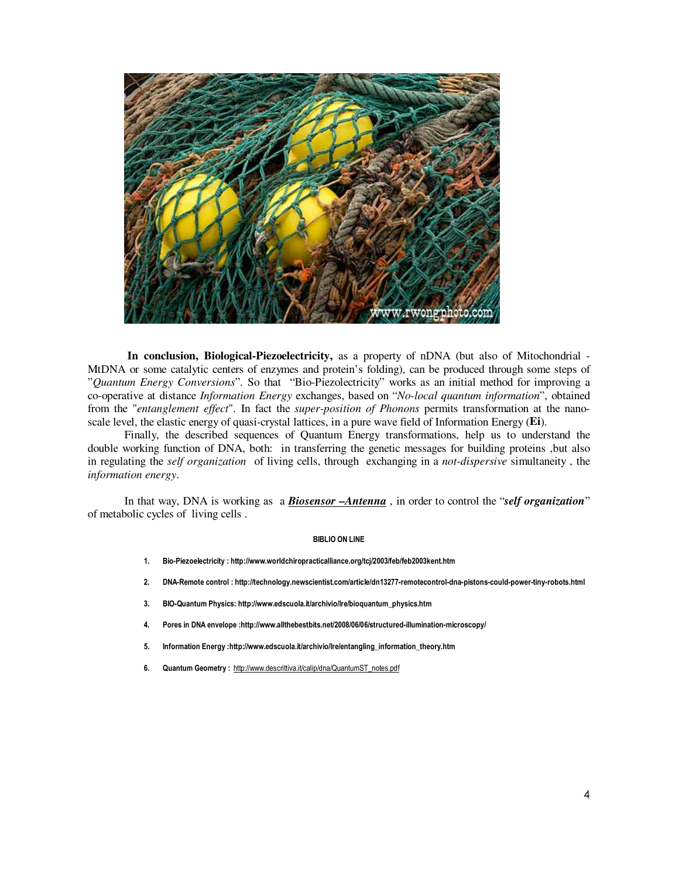

 **In conclusion, Biological-Piezoelectricity,** as a property of nDNA (but also of Mitochondrial - MtDNA or some catalytic centers of enzymes and protein's folding), can be produced through some steps of "*Quantum Energy Conversions*". So that "Bio-Piezolectricity" works as an initial method for improving a co-operative at distance *Information Energy* exchanges, based on "*No-local quantum information*", obtained from the "*entanglement effect*". In fact the *super-position of Phonons* permits transformation at the nanoscale level, the elastic energy of quasi-crystal lattices, in a pure wave field of Information Energy (**Ei**).

Finally, the described sequences of Quantum Energy transformations, help us to understand the double working function of DNA, both: in transferring the genetic messages for building proteins ,but also in regulating the *self organization* of living cells, through exchanging in a *not-dispersive* simultaneity , the *information energy*.

In that way, DNA is working as a *Biosensor –Antenna* , in order to control the "*self organization*" of metabolic cycles of living cells .

## BIBLIO ON LINE

- 1. Bio-Piezoelectricity : http://www.worldchiropracticalliance.org/tcj/2003/feb/feb2003kent.htm
- 2. DNA-Remote control : http://technology.newscientist.com/article/dn13277-remotecontrol-dna-pistons-could-power-tiny-robots.html
- 3. BIO-Quantum Physics: http://www.edscuola.it/archivio/lre/bioquantum\_physics.htm
- 4. Pores in DNA envelope :http://www.allthebestbits.net/2008/06/06/structured-illumination-microscopy/
- 5. Information Energy :http://www.edscuola.it/archivio/lre/entangling\_information\_theory.htm
- 6. Quantum Geometry : http://www.descrittiva.it/calip/dna/QuantumST\_notes.pdf